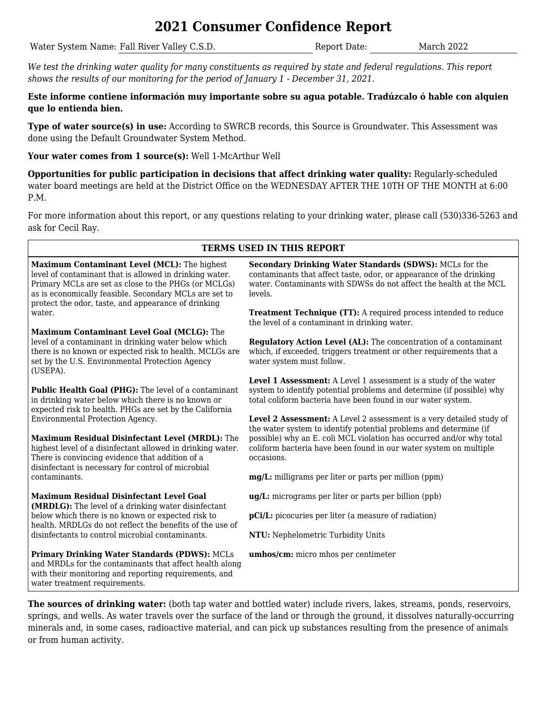# **2021 Consumer Confidence Report**

Water System Name: Fall River Valley C.S.D. Report Date: March 2022

*We test the drinking water quality for many constituents as required by state and federal regulations. This report shows the results of our monitoring for the period of January 1 - December 31, 2021.*

**Este informe contiene información muy importante sobre su agua potable. Tradúzcalo ó hable con alquien que lo entienda bien.**

**Type of water source(s) in use:** According to SWRCB records, this Source is Groundwater. This Assessment was done using the Default Groundwater System Method.

**Your water comes from 1 source(s):** Well 1-McArthur Well

**Opportunities for public participation in decisions that affect drinking water quality:** Regularly-scheduled water board meetings are held at the District Office on the WEDNESDAY AFTER THE 10TH OF THE MONTH at 6:00 P.M.

For more information about this report, or any questions relating to your drinking water, please call (530)336-5263 and ask for Cecil Ray.

### **TERMS USED IN THIS REPORT**

**Maximum Contaminant Level (MCL):** The highest level of contaminant that is allowed in drinking water. Primary MCLs are set as close to the PHGs (or MCLGs) as is economically feasible. Secondary MCLs are set to protect the odor, taste, and appearance of drinking water.

**Maximum Contaminant Level Goal (MCLG):** The level of a contaminant in drinking water below which there is no known or expected risk to health. MCLGs are set by the U.S. Environmental Protection Agency (USEPA).

**Public Health Goal (PHG):** The level of a contaminant in drinking water below which there is no known or expected risk to health. PHGs are set by the California Environmental Protection Agency.

**Maximum Residual Disinfectant Level (MRDL):** The highest level of a disinfectant allowed in drinking water. There is convincing evidence that addition of a disinfectant is necessary for control of microbial contaminants.

**Maximum Residual Disinfectant Level Goal (MRDLG):** The level of a drinking water disinfectant below which there is no known or expected risk to health. MRDLGs do not reflect the benefits of the use of disinfectants to control microbial contaminants.

**Primary Drinking Water Standards (PDWS):** MCLs and MRDLs for the contaminants that affect health along with their monitoring and reporting requirements, and water treatment requirements.

**Secondary Drinking Water Standards (SDWS):** MCLs for the contaminants that affect taste, odor, or appearance of the drinking water. Contaminants with SDWSs do not affect the health at the MCL levels.

**Treatment Technique (TT):** A required process intended to reduce the level of a contaminant in drinking water.

**Regulatory Action Level (AL):** The concentration of a contaminant which, if exceeded, triggers treatment or other requirements that a water system must follow.

**Level 1 Assessment:** A Level 1 assessment is a study of the water system to identify potential problems and determine (if possible) why total coliform bacteria have been found in our water system.

**Level 2 Assessment:** A Level 2 assessment is a very detailed study of the water system to identify potential problems and determine (if possible) why an E. coli MCL violation has occurred and/or why total coliform bacteria have been found in our water system on multiple occasions.

**mg/L:** milligrams per liter or parts per million (ppm)

**ug/L:** micrograms per liter or parts per billion (ppb)

**pCi/L:** picocuries per liter (a measure of radiation)

**NTU:** Nephelometric Turbidity Units

**umhos/cm:** micro mhos per centimeter

**The sources of drinking water:** (both tap water and bottled water) include rivers, lakes, streams, ponds, reservoirs, springs, and wells. As water travels over the surface of the land or through the ground, it dissolves naturally-occurring minerals and, in some cases, radioactive material, and can pick up substances resulting from the presence of animals or from human activity.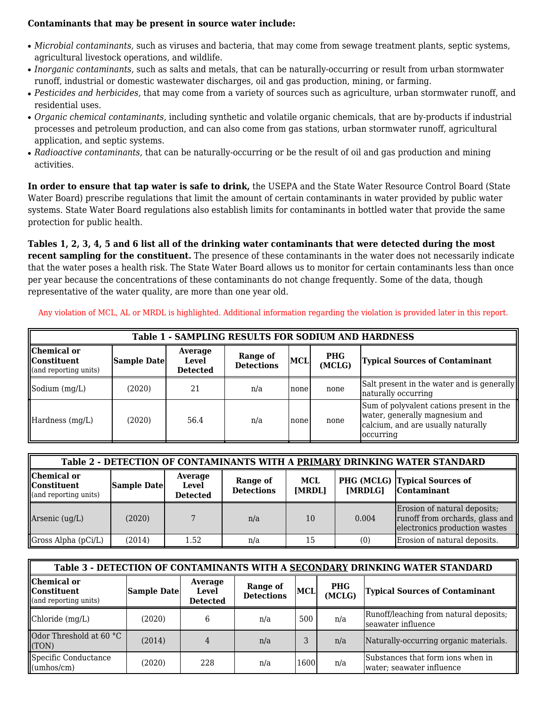#### **Contaminants that may be present in source water include:**

- *Microbial contaminants,* such as viruses and bacteria, that may come from sewage treatment plants, septic systems, agricultural livestock operations, and wildlife.
- *Inorganic contaminants,* such as salts and metals, that can be naturally-occurring or result from urban stormwater runoff, industrial or domestic wastewater discharges, oil and gas production, mining, or farming.
- *Pesticides and herbicides,* that may come from a variety of sources such as agriculture, urban stormwater runoff, and residential uses.
- *Organic chemical contaminants,* including synthetic and volatile organic chemicals, that are by-products if industrial processes and petroleum production, and can also come from gas stations, urban stormwater runoff, agricultural application, and septic systems.
- *Radioactive contaminants,* that can be naturally-occurring or be the result of oil and gas production and mining activities.

**In order to ensure that tap water is safe to drink,** the USEPA and the State Water Resource Control Board (State Water Board) prescribe regulations that limit the amount of certain contaminants in water provided by public water systems. State Water Board regulations also establish limits for contaminants in bottled water that provide the same protection for public health.

**Tables 1, 2, 3, 4, 5 and 6 list all of the drinking water contaminants that were detected during the most recent sampling for the constituent.** The presence of these contaminants in the water does not necessarily indicate that the water poses a health risk. The State Water Board allows us to monitor for certain contaminants less than once per year because the concentrations of these contaminants do not change frequently. Some of the data, though representative of the water quality, are more than one year old.

| <b>Table 1 - SAMPLING RESULTS FOR SODIUM AND HARDNESS</b>    |                    |                                     |                               |            |                      |                                                                                                                                |  |
|--------------------------------------------------------------|--------------------|-------------------------------------|-------------------------------|------------|----------------------|--------------------------------------------------------------------------------------------------------------------------------|--|
| Chemical or<br><b>I</b> Constituent<br>(and reporting units) | <b>Sample Date</b> | Average<br>Level<br><b>Detected</b> | Range of<br><b>Detections</b> | <b>MCL</b> | <b>PHG</b><br>(MCLG) | <b>Typical Sources of Contaminant</b>                                                                                          |  |
| Sodium $(mg/L)$                                              | (2020)             | 21                                  | n/a                           | Inone      | none                 | Salt present in the water and is generally<br>naturally occurring                                                              |  |
| Hardness (mg/L)                                              | (2020)             | 56.4                                | n/a                           | Inone      | none                 | Sum of polyvalent cations present in the<br>water, generally magnesium and<br>calcium, and are usually naturally<br>loccurring |  |

Any violation of MCL, AL or MRDL is highlighted. Additional information regarding the violation is provided later in this report.

| Table 2 - DETECTION OF CONTAMINANTS WITH A PRIMARY DRINKING WATER STANDARD |             |                                     |                               |               |         |                                                                                                  |  |  |
|----------------------------------------------------------------------------|-------------|-------------------------------------|-------------------------------|---------------|---------|--------------------------------------------------------------------------------------------------|--|--|
| Chemical or<br><b>Constituent</b><br>(and reporting units)                 | Sample Date | Average<br>Level<br><b>Detected</b> | Range of<br><b>Detections</b> | MCL<br>[MRDL] | [MRDLG] | PHG (MCLG) Typical Sources of<br>Contaminant                                                     |  |  |
| Arsenic (ug/L)                                                             | (2020)      |                                     | n/a                           | 10            | 0.004   | Erosion of natural deposits;<br>runoff from orchards, glass and<br>electronics production wastes |  |  |
| $\Box$ Gross Alpha (pCi/L)                                                 | (2014)      | 1.52                                | n/a                           | 15            | (0)     | Erosion of natural deposits.                                                                     |  |  |

| Table 3 - DETECTION OF CONTAMINANTS WITH A SECONDARY DRINKING WATER STANDARD |             |                                            |                               |            |                      |                                                                |  |  |
|------------------------------------------------------------------------------|-------------|--------------------------------------------|-------------------------------|------------|----------------------|----------------------------------------------------------------|--|--|
| Chemical or<br><b>  Constituent</b><br>(and reporting units)                 | Sample Date | Average<br><b>Level</b><br><b>Detected</b> | Range of<br><b>Detections</b> | <b>MCL</b> | <b>PHG</b><br>(MCLG) | <b>Typical Sources of Contaminant</b>                          |  |  |
| Chloride (mg/L)                                                              | (2020)      |                                            | n/a                           | 500        | n/a                  | Runoff/leaching from natural deposits;<br>seawater influence   |  |  |
| Odor Threshold at 60 °C<br>(TON)                                             | (2014)      |                                            | n/a                           |            | n/a                  | Naturally-occurring organic materials.                         |  |  |
| Specific Conductance<br>$\mu$ (umhos/cm)                                     | (2020)      | 228                                        | n/a                           | 1600       | n/a                  | Substances that form ions when in<br>water; seawater influence |  |  |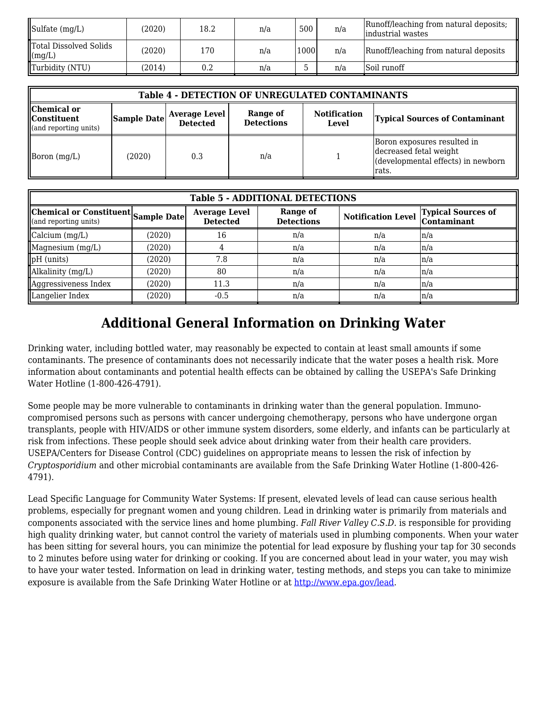| Sulfate $(mg/L)$                      | (2020) | 18.2      | n/a | 500  | n/a | Runoff/leaching from natural deposits;<br>lindustrial wastes |
|---------------------------------------|--------|-----------|-----|------|-----|--------------------------------------------------------------|
| Total Dissolved Solids<br>$\ $ (mg/L) | (2020) | 170       | n/a | 1000 | n/a | Runoff/leaching from natural deposits                        |
| Turbidity (NTU)                       | 2014)  | $\rm 0.2$ | n/a |      | n/a | <b>Soil runoff</b>                                           |

| <b>Table 4 - DETECTION OF UNREGULATED CONTAMINANTS</b>                  |             |                                         |                               |                              |                                                                                                      |  |  |  |
|-------------------------------------------------------------------------|-------------|-----------------------------------------|-------------------------------|------------------------------|------------------------------------------------------------------------------------------------------|--|--|--|
| Chemical or<br><b>Constituent</b><br>$\mathbf{u}$ (and reporting units) | Sample Date | <b>Average Level</b><br><b>Detected</b> | Range of<br><b>Detections</b> | <b>Notification</b><br>Level | <b>Typical Sources of Contaminant</b>                                                                |  |  |  |
| Boron $(mg/L)$                                                          | (2020)      | 0.3                                     | n/a                           |                              | Boron exposures resulted in<br>decreased fetal weight<br>(developmental effects) in newborn<br>rats. |  |  |  |

| <b>Table 5 - ADDITIONAL DETECTIONS</b>                       |        |                                         |                               |                           |                                          |  |  |  |  |
|--------------------------------------------------------------|--------|-----------------------------------------|-------------------------------|---------------------------|------------------------------------------|--|--|--|--|
| Chemical or Constituent Sample Date<br>(and reporting units) |        | <b>Average Level</b><br><b>Detected</b> | Range of<br><b>Detections</b> | <b>Notification Level</b> | <b>Typical Sources of</b><br>Contaminant |  |  |  |  |
| $\alpha$ calcium $(mg/L)$                                    | (2020) | 16                                      | n/a                           | n/a                       | $\ln/a$                                  |  |  |  |  |
| Magnesium (mg/L)                                             | (2020) |                                         | n/a                           | n/a                       | $\ln/a$                                  |  |  |  |  |
| $pH$ (units)                                                 | (2020) | 7.8                                     | n/a                           | n/a                       | ln/a                                     |  |  |  |  |
| Alkalinity (mg/L)                                            | (2020) | 80                                      | n/a                           | n/a                       | ln/a                                     |  |  |  |  |
| Aggressiveness Index                                         | (2020) | 11.3                                    | n/a                           | n/a                       | ln/a                                     |  |  |  |  |
| Langelier Index                                              | (2020) | $-0.5$                                  | n/a                           | n/a                       | ln/a                                     |  |  |  |  |

# **Additional General Information on Drinking Water**

Drinking water, including bottled water, may reasonably be expected to contain at least small amounts if some contaminants. The presence of contaminants does not necessarily indicate that the water poses a health risk. More information about contaminants and potential health effects can be obtained by calling the USEPA's Safe Drinking Water Hotline (1-800-426-4791).

Some people may be more vulnerable to contaminants in drinking water than the general population. Immunocompromised persons such as persons with cancer undergoing chemotherapy, persons who have undergone organ transplants, people with HIV/AIDS or other immune system disorders, some elderly, and infants can be particularly at risk from infections. These people should seek advice about drinking water from their health care providers. USEPA/Centers for Disease Control (CDC) guidelines on appropriate means to lessen the risk of infection by *Cryptosporidium* and other microbial contaminants are available from the Safe Drinking Water Hotline (1-800-426- 4791).

Lead Specific Language for Community Water Systems: If present, elevated levels of lead can cause serious health problems, especially for pregnant women and young children. Lead in drinking water is primarily from materials and components associated with the service lines and home plumbing. *Fall River Valley C.S.D.* is responsible for providing high quality drinking water, but cannot control the variety of materials used in plumbing components. When your water has been sitting for several hours, you can minimize the potential for lead exposure by flushing your tap for 30 seconds to 2 minutes before using water for drinking or cooking. If you are concerned about lead in your water, you may wish to have your water tested. Information on lead in drinking water, testing methods, and steps you can take to minimize exposure is available from the Safe Drinking Water Hotline or at [http://www.epa.gov/lead](http://www.epa.gov/safewater/lead).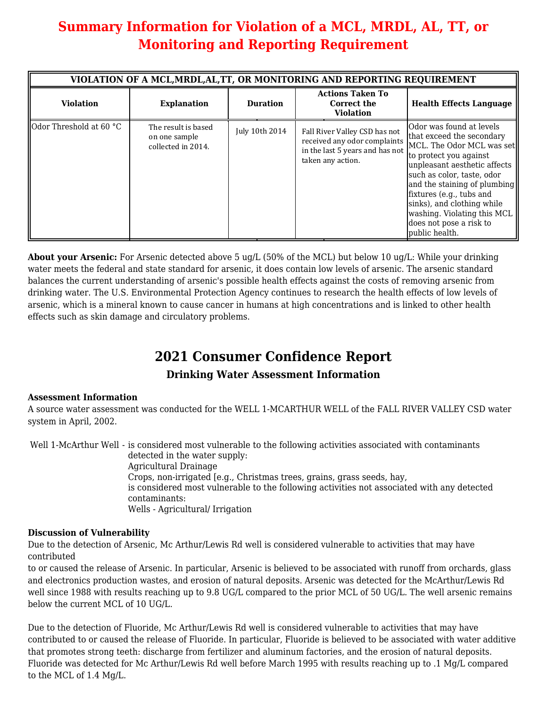# **Summary Information for Violation of a MCL, MRDL, AL, TT, or Monitoring and Reporting Requirement**

|                                | VIOLATION OF A MCL, MRDL, AL, TT, OR MONITORING AND REPORTING REQUIREMENT |                 |                                                                                                                       |                                                                                                                                                                                                                                                                                                                                                  |  |  |  |  |  |
|--------------------------------|---------------------------------------------------------------------------|-----------------|-----------------------------------------------------------------------------------------------------------------------|--------------------------------------------------------------------------------------------------------------------------------------------------------------------------------------------------------------------------------------------------------------------------------------------------------------------------------------------------|--|--|--|--|--|
| <b>Violation</b>               | <b>Explanation</b>                                                        | <b>Duration</b> | <b>Actions Taken To</b><br>Correct the<br><b>Violation</b>                                                            | <b>Health Effects Language</b>                                                                                                                                                                                                                                                                                                                   |  |  |  |  |  |
| <b>Odor Threshold at 60 °C</b> | The result is based<br>on one sample<br>collected in 2014.                | July 10th 2014  | Fall River Valley CSD has not<br>received any odor complaints<br>in the last 5 years and has not<br>taken any action. | Odor was found at levels<br>that exceed the secondary<br>MCL. The Odor MCL was set<br>to protect you against<br>unpleasant aesthetic affects<br>such as color, taste, odor<br>and the staining of plumbing<br>fixtures (e.g., tubs and<br>sinks), and clothing while<br>washing. Violating this MCL<br>does not pose a risk to<br>public health. |  |  |  |  |  |

**About your Arsenic:** For Arsenic detected above 5 ug/L (50% of the MCL) but below 10 ug/L: While your drinking water meets the federal and state standard for arsenic, it does contain low levels of arsenic. The arsenic standard balances the current understanding of arsenic's possible health effects against the costs of removing arsenic from drinking water. The U.S. Environmental Protection Agency continues to research the health effects of low levels of arsenic, which is a mineral known to cause cancer in humans at high concentrations and is linked to other health effects such as skin damage and circulatory problems.

## **2021 Consumer Confidence Report**

### **Drinking Water Assessment Information**

#### **Assessment Information**

A source water assessment was conducted for the WELL 1-MCARTHUR WELL of the FALL RIVER VALLEY CSD water system in April, 2002.

Well 1-McArthur Well - is considered most vulnerable to the following activities associated with contaminants detected in the water supply: Agricultural Drainage Crops, non-irrigated [e.g., Christmas trees, grains, grass seeds, hay, is considered most vulnerable to the following activities not associated with any detected contaminants: Wells - Agricultural/ Irrigation

#### **Discussion of Vulnerability**

Due to the detection of Arsenic, Mc Arthur/Lewis Rd well is considered vulnerable to activities that may have contributed

to or caused the release of Arsenic. In particular, Arsenic is believed to be associated with runoff from orchards, glass and electronics production wastes, and erosion of natural deposits. Arsenic was detected for the McArthur/Lewis Rd well since 1988 with results reaching up to 9.8 UG/L compared to the prior MCL of 50 UG/L. The well arsenic remains below the current MCL of 10 UG/L.

Due to the detection of Fluoride, Mc Arthur/Lewis Rd well is considered vulnerable to activities that may have contributed to or caused the release of Fluoride. In particular, Fluoride is believed to be associated with water additive that promotes strong teeth: discharge from fertilizer and aluminum factories, and the erosion of natural deposits. Fluoride was detected for Mc Arthur/Lewis Rd well before March 1995 with results reaching up to .1 Mg/L compared to the MCL of 1.4 Mg/L.